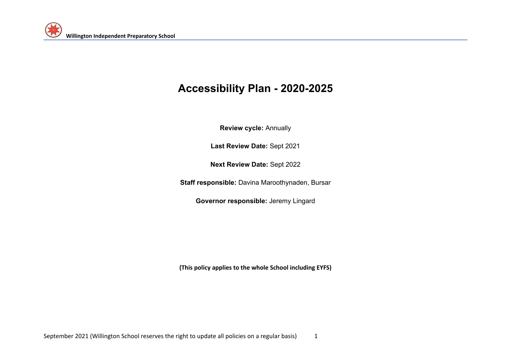# **Accessibility Plan - 2020-2025**

**Review cycle:** Annually

**Last Review Date:** Sept 2021

**Next Review Date:** Sept 2022

**Staff responsible:** Davina Maroothynaden, Bursar

**Governor responsible:** Jeremy Lingard

**(This policy applies to the whole School including EYFS)**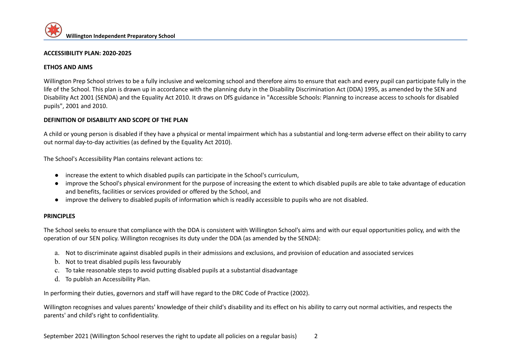#### **ACCESSIBILITY PLAN: 2020-2025**

#### **ETHOS AND AIMS**

Willington Prep School strives to be a fully inclusive and welcoming school and therefore aims to ensure that each and every pupil can participate fully in the life of the School. This plan is drawn up in accordance with the planning duty in the Disability Discrimination Act (DDA) 1995, as amended by the SEN and Disability Act 2001 (SENDA) and the Equality Act 2010. It draws on DfS guidance in "Accessible Schools: Planning to increase access to schools for disabled pupils", 2001 and 2010.

#### **DEFINITION OF DISABILITY AND SCOPE OF THE PLAN**

A child or young person is disabled if they have a physical or mental impairment which has a substantial and long-term adverse effect on their ability to carry out normal day-to-day activities (as defined by the Equality Act 2010).

The School's Accessibility Plan contains relevant actions to:

- increase the extent to which disabled pupils can participate in the School's curriculum,
- improve the School's physical environment for the purpose of increasing the extent to which disabled pupils are able to take advantage of education and benefits, facilities or services provided or offered by the School, and
- improve the delivery to disabled pupils of information which is readily accessible to pupils who are not disabled.

#### **PRINCIPLES**

The School seeks to ensure that compliance with the DDA is consistent with Willington School's aims and with our equal opportunities policy, and with the operation of our SEN policy. Willington recognises its duty under the DDA (as amended by the SENDA):

- a. Not to discriminate against disabled pupils in their admissions and exclusions, and provision of education and associated services
- b. Not to treat disabled pupils less favourably
- c. To take reasonable steps to avoid putting disabled pupils at a substantial disadvantage
- d. To publish an Accessibility Plan.

In performing their duties, governors and staff will have regard to the DRC Code of Practice (2002).

Willington recognises and values parents' knowledge of their child's disability and its effect on his ability to carry out normal activities, and respects the parents' and child's right to confidentiality.

September 2021 (Willington School reserves the right to update all policies on a regular basis) 2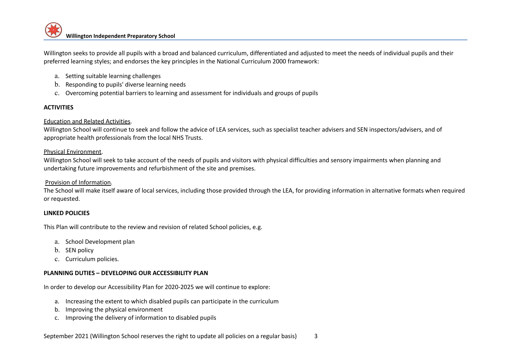Willington seeks to provide all pupils with a broad and balanced curriculum, differentiated and adjusted to meet the needs of individual pupils and their preferred learning styles; and endorses the key principles in the National Curriculum 2000 framework:

- a. Setting suitable learning challenges
- b. Responding to pupils' diverse learning needs
- c. Overcoming potential barriers to learning and assessment for individuals and groups of pupils

# **ACTIVITIES**

## Education and Related Activities.

Willington School will continue to seek and follow the advice of LEA services, such as specialist teacher advisers and SEN inspectors/advisers, and of appropriate health professionals from the local NHS Trusts.

## Physical Environment.

Willington School will seek to take account of the needs of pupils and visitors with physical difficulties and sensory impairments when planning and undertaking future improvements and refurbishment of the site and premises.

### Provision of Information.

The School will make itself aware of local services, including those provided through the LEA, for providing information in alternative formats when required or requested.

#### **LINKED POLICIES**

This Plan will contribute to the review and revision of related School policies, e.g.

- a. School Development plan
- b. SEN policy
- c. Curriculum policies.

# **PLANNING DUTIES – DEVELOPING OUR ACCESSIBILITY PLAN**

In order to develop our Accessibility Plan for 2020-2025 we will continue to explore:

- a. Increasing the extent to which disabled pupils can participate in the curriculum
- b. Improving the physical environment
- c. Improving the delivery of information to disabled pupils

September 2021 (Willington School reserves the right to update all policies on a regular basis) 3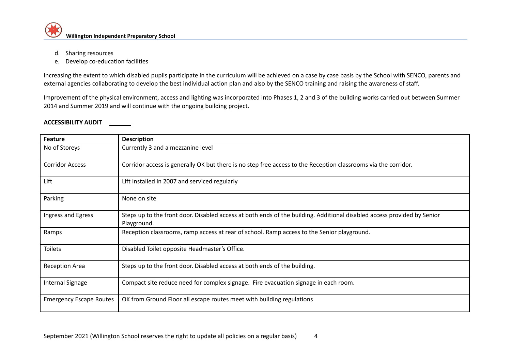- d. Sharing resources
- e. Develop co-education facilities

Increasing the extent to which disabled pupils participate in the curriculum will be achieved on a case by case basis by the School with SENCO, parents and external agencies collaborating to develop the best individual action plan and also by the SENCO training and raising the awareness of staff.

Improvement of the physical environment, access and lighting was incorporated into Phases 1, 2 and 3 of the building works carried out between Summer 2014 and Summer 2019 and will continue with the ongoing building project.

#### **ACCESSIBILITY AUDIT**

| <b>Feature</b>                 | <b>Description</b>                                                                                                                     |
|--------------------------------|----------------------------------------------------------------------------------------------------------------------------------------|
| No of Storeys                  | Currently 3 and a mezzanine level                                                                                                      |
| <b>Corridor Access</b>         | Corridor access is generally OK but there is no step free access to the Reception classrooms via the corridor.                         |
| Lift                           | Lift Installed in 2007 and serviced regularly                                                                                          |
| Parking                        | None on site                                                                                                                           |
| Ingress and Egress             | Steps up to the front door. Disabled access at both ends of the building. Additional disabled access provided by Senior<br>Playground. |
| Ramps                          | Reception classrooms, ramp access at rear of school. Ramp access to the Senior playground.                                             |
| <b>Toilets</b>                 | Disabled Toilet opposite Headmaster's Office.                                                                                          |
| <b>Reception Area</b>          | Steps up to the front door. Disabled access at both ends of the building.                                                              |
| <b>Internal Signage</b>        | Compact site reduce need for complex signage. Fire evacuation signage in each room.                                                    |
| <b>Emergency Escape Routes</b> | OK from Ground Floor all escape routes meet with building regulations                                                                  |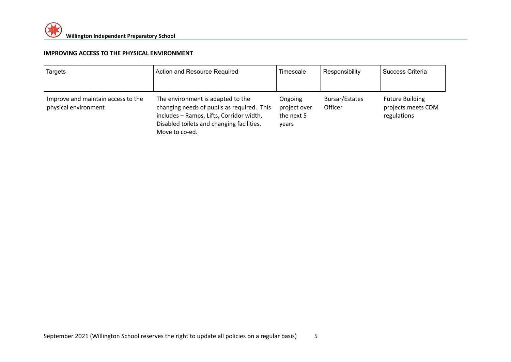## **IMPROVING ACCESS TO THE PHYSICAL ENVIRONMENT**

| Targets                                                    | Action and Resource Required                                                                                                                                                               | Timescale                                      | Responsibility            | I Success Criteria                                          |
|------------------------------------------------------------|--------------------------------------------------------------------------------------------------------------------------------------------------------------------------------------------|------------------------------------------------|---------------------------|-------------------------------------------------------------|
| Improve and maintain access to the<br>physical environment | The environment is adapted to the<br>changing needs of pupils as required. This<br>includes - Ramps, Lifts, Corridor width,<br>Disabled toilets and changing facilities.<br>Move to co-ed. | Ongoing<br>project over<br>the next 5<br>vears | Bursar/Estates<br>Officer | <b>Future Building</b><br>projects meets CDM<br>regulations |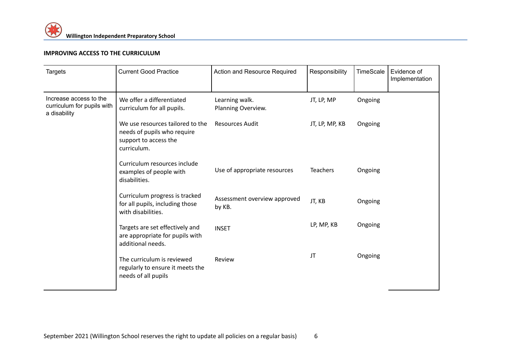# **IMPROVING ACCESS TO THE CURRICULUM**

| <b>Targets</b>                                                       | <b>Current Good Practice</b>                                                                            | Action and Resource Required           | Responsibility  | TimeScale | Evidence of<br>Implementation |
|----------------------------------------------------------------------|---------------------------------------------------------------------------------------------------------|----------------------------------------|-----------------|-----------|-------------------------------|
| Increase access to the<br>curriculum for pupils with<br>a disability | We offer a differentiated<br>curriculum for all pupils.                                                 | Learning walk.<br>Planning Overview.   | JT, LP, MP      | Ongoing   |                               |
|                                                                      | We use resources tailored to the<br>needs of pupils who require<br>support to access the<br>curriculum. | <b>Resources Audit</b>                 | JT, LP, MP, KB  | Ongoing   |                               |
|                                                                      | Curriculum resources include<br>examples of people with<br>disabilities.                                | Use of appropriate resources           | <b>Teachers</b> | Ongoing   |                               |
|                                                                      | Curriculum progress is tracked<br>for all pupils, including those<br>with disabilities.                 | Assessment overview approved<br>by KB. | JT, KB          | Ongoing   |                               |
|                                                                      | Targets are set effectively and<br>are appropriate for pupils with<br>additional needs.                 | <b>INSET</b>                           | LP, MP, KB      | Ongoing   |                               |
|                                                                      | The curriculum is reviewed<br>regularly to ensure it meets the<br>needs of all pupils                   | Review                                 | JT              | Ongoing   |                               |